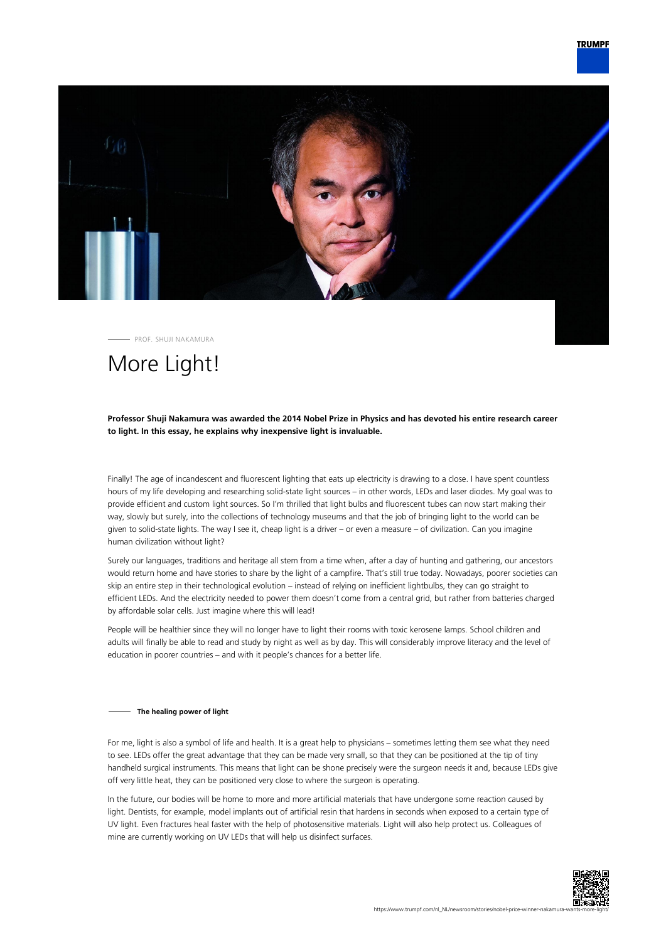

PROF. SHUJI NAKAMURA

# More Light!

### **Professor Shuji Nakamura was awarded the 2014 Nobel Prize in Physics and has devoted his entire research career to light. In this essay, he explains why inexpensive light is invaluable.**

Finally! The age of incandescent and fluorescent lighting that eats up electricity is drawing to a close. I have spent countless hours of my life developing and researching solid-state light sources – in other words, LEDs and laser diodes. My goal was to provide efficient and custom light sources. So I'm thrilled that light bulbs and fluorescent tubes can now start making their way, slowly but surely, into the collections of technology museums and that the job of bringing light to the world can be given to solid-state lights. The way I see it, cheap light is a driver – or even a measure – of civilization. Can you imagine human civilization without light?

Surely our languages, traditions and heritage all stem from a time when, after a day of hunting and gathering, our ancestors would return home and have stories to share by the light of a campfire. That's still true today. Nowadays, poorer societies can skip an entire step in their technological evolution – instead of relying on inefficient lightbulbs, they can go straight to efficient LEDs. And the electricity needed to power them doesn't come from a central grid, but rather from batteries charged by affordable solar cells. Just imagine where this will lead!

People will be healthier since they will no longer have to light their rooms with toxic kerosene lamps. School children and adults will finally be able to read and study by night as well as by day. This will considerably improve literacy and the level of education in poorer countries – and with it people's chances for a better life.

#### **The healing power of light**

For me, light is also a symbol of life and health. It is a great help to physicians – sometimes letting them see what they need to see. LEDs offer the great advantage that they can be made very small, so that they can be positioned at the tip of tiny handheld surgical instruments. This means that light can be shone precisely were the surgeon needs it and, because LEDs give off very little heat, they can be positioned very close to where the surgeon is operating.

In the future, our bodies will be home to more and more artificial materials that have undergone some reaction caused by light. Dentists, for example, model implants out of artificial resin that hardens in seconds when exposed to a certain type of UV light. Even fractures heal faster with the help of photosensitive materials. Light will also help protect us. Colleagues of mine are currently working on UV LEDs that will help us disinfect surfaces.

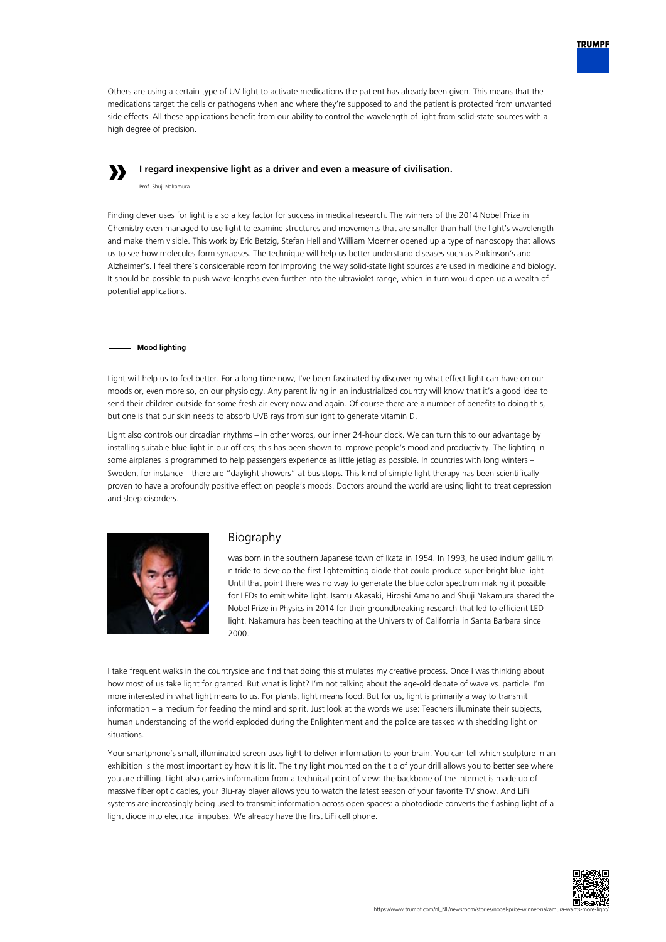

Others are using a certain type of UV light to activate medications the patient has already been given. This means that the medications target the cells or pathogens when and where they're supposed to and the patient is protected from unwanted side effects. All these applications benefit from our ability to control the wavelength of light from solid-state sources with a high degree of precision.

# **»**

**I regard inexpensive light as a driver and even a measure of civilisation.**

Prof. Shuji Nakamura

Finding clever uses for light is also a key factor for success in medical research. The winners of the 2014 Nobel Prize in Chemistry even managed to use light to examine structures and movements that are smaller than half the light's wavelength and make them visible. This work by Eric Betzig, Stefan Hell and William Moerner opened up a type of nanoscopy that allows us to see how molecules form synapses. The technique will help us better understand diseases such as Parkinson's and Alzheimer's. I feel there's considerable room for improving the way solid-state light sources are used in medicine and biology. It should be possible to push wave-lengths even further into the ultraviolet range, which in turn would open up a wealth of potential applications.

### **Mood lighting**

Light will help us to feel better. For a long time now, I've been fascinated by discovering what effect light can have on our moods or, even more so, on our physiology. Any parent living in an industrialized country will know that it's a good idea to send their children outside for some fresh air every now and again. Of course there are a number of benefits to doing this, but one is that our skin needs to absorb UVB rays from sunlight to generate vitamin D.

Light also controls our circadian rhythms – in other words, our inner 24-hour clock. We can turn this to our advantage by installing suitable blue light in our offices; this has been shown to improve people's mood and productivity. The lighting in some airplanes is programmed to help passengers experience as little jetlag as possible. In countries with long winters – Sweden, for instance – there are "daylight showers" at bus stops. This kind of simple light therapy has been scientifically proven to have a profoundly positive effect on people's moods. Doctors around the world are using light to treat depression and sleep disorders.



## Biography

was born in the southern Japanese town of Ikata in 1954. In 1993, he used indium gallium nitride to develop the first lightemitting diode that could produce super-bright blue light Until that point there was no way to generate the blue color spectrum making it possible for LEDs to emit white light. Isamu Akasaki, Hiroshi Amano and Shuji Nakamura shared the Nobel Prize in Physics in 2014 for their groundbreaking research that led to efficient LED light. Nakamura has been teaching at the University of California in Santa Barbara since 2000.

I take frequent walks in the countryside and find that doing this stimulates my creative process. Once I was thinking about how most of us take light for granted. But what is light? I'm not talking about the age-old debate of wave vs. particle. I'm more interested in what light means to us. For plants, light means food. But for us, light is primarily a way to transmit information – a medium for feeding the mind and spirit. Just look at the words we use: Teachers illuminate their subjects, human understanding of the world exploded during the Enlightenment and the police are tasked with shedding light on situations.

Your smartphone's small, illuminated screen uses light to deliver information to your brain. You can tell which sculpture in an exhibition is the most important by how it is lit. The tiny light mounted on the tip of your drill allows you to better see where you are drilling. Light also carries information from a technical point of view: the backbone of the internet is made up of massive fiber optic cables, your Blu-ray player allows you to watch the latest season of your favorite TV show. And LiFi systems are increasingly being used to transmit information across open spaces: a photodiode converts the flashing light of a light diode into electrical impulses. We already have the first LiFi cell phone.